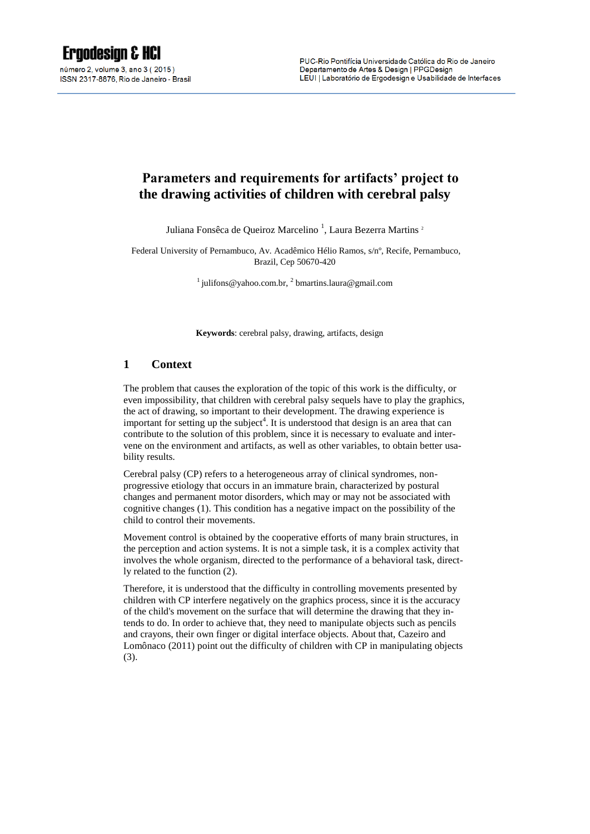# **Parameters and requirements for artifacts' project to the drawing activities of children with cerebral palsy**

Juliana Fonsêca de Queiroz Marcelino<sup>1</sup>, Laura Bezerra Martins<sup>2</sup>

Federal University of Pernambuco, Av. Acadêmico Hélio Ramos, s/nº, Recife, Pernambuco, Brazil, Cep 50670-420

<sup>1</sup> julifons@yahoo.com.br, <sup>2</sup> [bmartins.laura@gmail.com](mailto:2%20bmartins.laura@gmail.com)

**Keywords**: cerebral palsy, drawing, artifacts, design

#### **1 Context**

The problem that causes the exploration of the topic of this work is the difficulty, or even impossibility, that children with cerebral palsy sequels have to play the graphics, the act of drawing, so important to their development. The drawing experience is important for setting up the subject<sup>4</sup>. It is understood that design is an area that can contribute to the solution of this problem, since it is necessary to evaluate and intervene on the environment and artifacts, as well as other variables, to obtain better usability results.

Cerebral palsy (CP) refers to a heterogeneous array of clinical syndromes, nonprogressive etiology that occurs in an immature brain, characterized by postural changes and permanent motor disorders, which may or may not be associated with cognitive changes (1). This condition has a negative impact on the possibility of the child to control their movements.

Movement control is obtained by the cooperative efforts of many brain structures, in the perception and action systems. It is not a simple task, it is a complex activity that involves the whole organism, directed to the performance of a behavioral task, directly related to the function (2).

Therefore, it is understood that the difficulty in controlling movements presented by children with CP interfere negatively on the graphics process, since it is the accuracy of the child's movement on the surface that will determine the drawing that they intends to do. In order to achieve that, they need to manipulate objects such as pencils and crayons, their own finger or digital interface objects. About that, Cazeiro and Lomônaco (2011) point out the difficulty of children with CP in manipulating objects (3).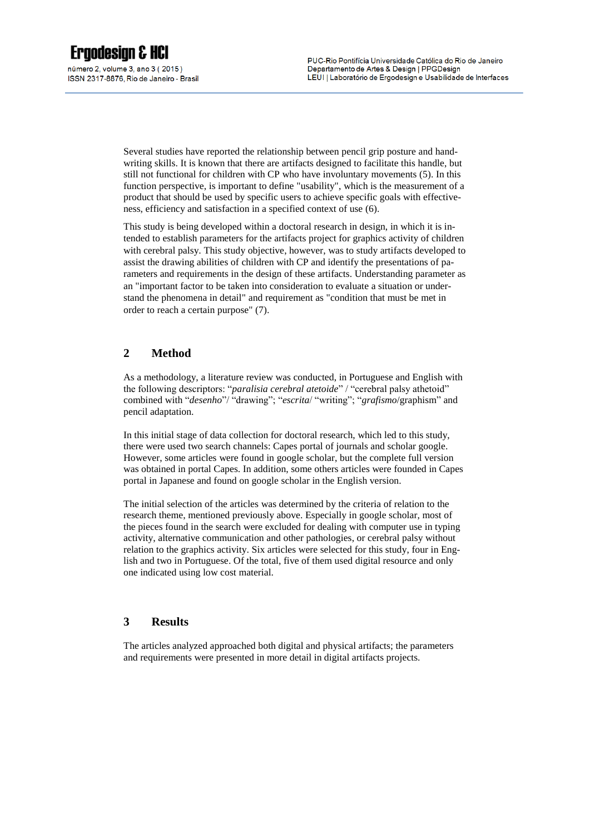ISSN 2317-8876, Rio de Janeiro - Brasil

Several studies have reported the relationship between pencil grip posture and handwriting skills. It is known that there are artifacts designed to facilitate this handle, but still not functional for children with CP who have involuntary movements (5). In this function perspective, is important to define "usability", which is the measurement of a product that should be used by specific users to achieve specific goals with effectiveness, efficiency and satisfaction in a specified context of use (6).

This study is being developed within a doctoral research in design, in which it is intended to establish parameters for the artifacts project for graphics activity of children with cerebral palsy. This study objective, however, was to study artifacts developed to assist the drawing abilities of children with CP and identify the presentations of parameters and requirements in the design of these artifacts. Understanding parameter as an "important factor to be taken into consideration to evaluate a situation or understand the phenomena in detail" and requirement as "condition that must be met in order to reach a certain purpose" (7).

## **2 Method**

As a methodology, a literature review was conducted, in Portuguese and English with the following descriptors: "*paralisia cerebral atetoide*" / "cerebral palsy athetoid" combined with "*desenho*"/ "drawing"; "*escrita*/ "writing"; "*grafismo*/graphism" and pencil adaptation.

In this initial stage of data collection for doctoral research, which led to this study, there were used two search channels: Capes portal of journals and scholar google. However, some articles were found in google scholar, but the complete full version was obtained in portal Capes. In addition, some others articles were founded in Capes portal in Japanese and found on google scholar in the English version.

The initial selection of the articles was determined by the criteria of relation to the research theme, mentioned previously above. Especially in google scholar, most of the pieces found in the search were excluded for dealing with computer use in typing activity, alternative communication and other pathologies, or cerebral palsy without relation to the graphics activity. Six articles were selected for this study, four in English and two in Portuguese. Of the total, five of them used digital resource and only one indicated using low cost material.

### **3 Results**

The articles analyzed approached both digital and physical artifacts; the parameters and requirements were presented in more detail in digital artifacts projects.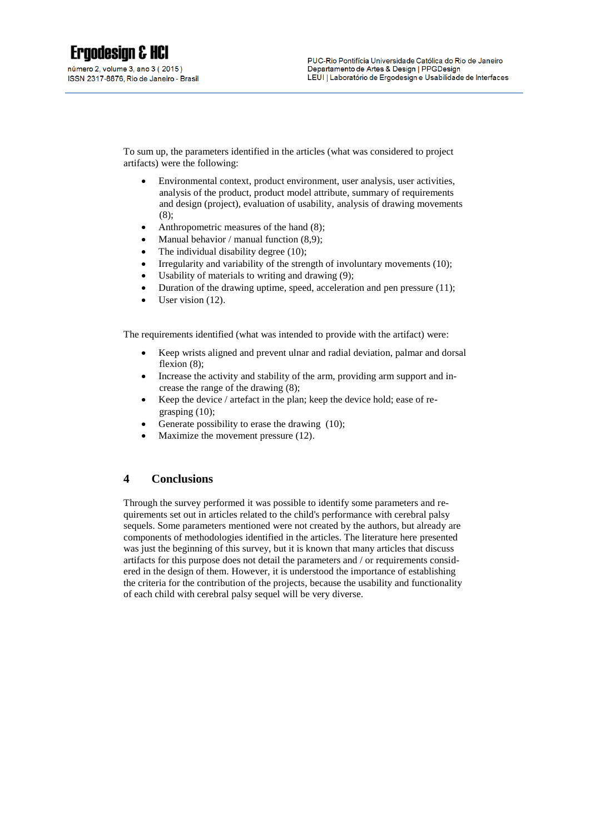To sum up, the parameters identified in the articles (what was considered to project artifacts) were the following:

- Environmental context, product environment, user analysis, user activities, analysis of the product, product model attribute, summary of requirements and design (project), evaluation of usability, analysis of drawing movements (8);
- Anthropometric measures of the hand (8);
- Manual behavior / manual function  $(8,9)$ ;
- The individual disability degree (10);
- Irregularity and variability of the strength of involuntary movements (10);
- Usability of materials to writing and drawing (9);
- Duration of the drawing uptime, speed, acceleration and pen pressure (11);
- User vision (12).

The requirements identified (what was intended to provide with the artifact) were:

- Keep wrists aligned and prevent ulnar and radial deviation, palmar and dorsal flexion  $(8)$ :
- Increase the activity and stability of the arm, providing arm support and increase the range of the drawing (8);
- Keep the device / artefact in the plan; keep the device hold; ease of regrasping (10);
- Generate possibility to erase the drawing (10);
- Maximize the movement pressure (12).

### **4 Conclusions**

Through the survey performed it was possible to identify some parameters and requirements set out in articles related to the child's performance with cerebral palsy sequels. Some parameters mentioned were not created by the authors, but already are components of methodologies identified in the articles. The literature here presented was just the beginning of this survey, but it is known that many articles that discuss artifacts for this purpose does not detail the parameters and / or requirements considered in the design of them. However, it is understood the importance of establishing the criteria for the contribution of the projects, because the usability and functionality of each child with cerebral palsy sequel will be very diverse.